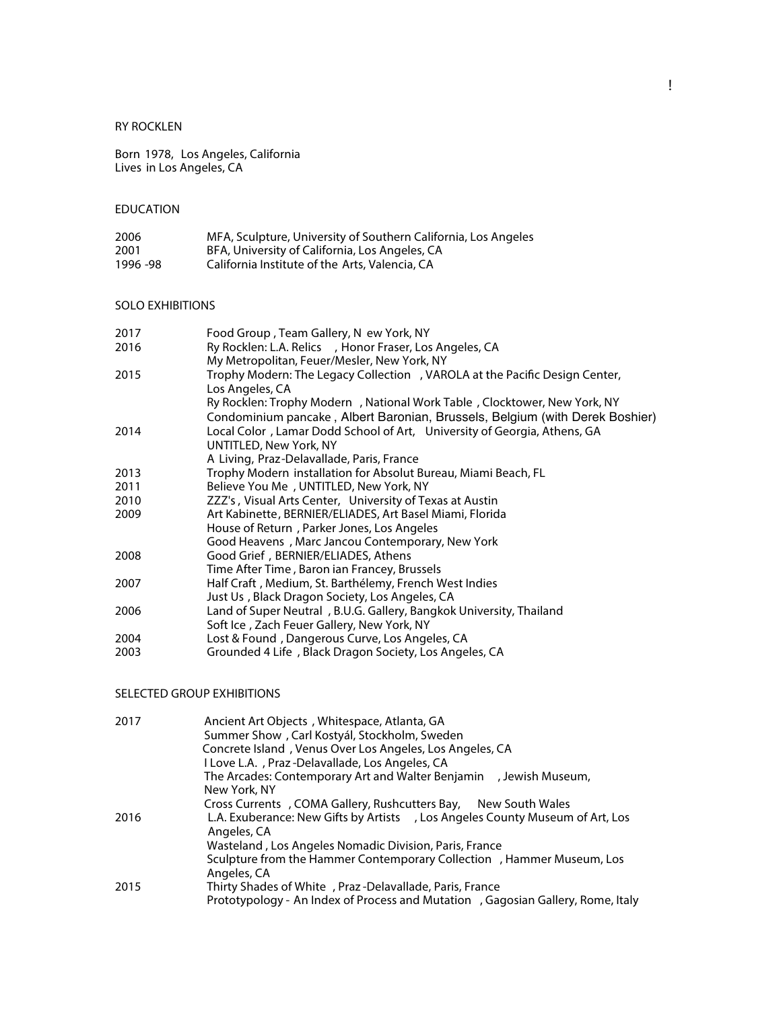## RY ROCKLEN

Born 1978, Los Angeles, California Lives in Los Angeles, CA

# EDUCATION

| 2006      | MFA, Sculpture, University of Southern California, Los Angeles |
|-----------|----------------------------------------------------------------|
| 2001      | BFA, University of California, Los Angeles, CA                 |
| 1996 - 98 | California Institute of the Arts, Valencia, CA                 |

#### SOLO EXHIBITIONS

| 2017 | Food Group, Team Gallery, N ew York, NY                                      |
|------|------------------------------------------------------------------------------|
| 2016 | Ry Rocklen: L.A. Relics , Honor Fraser, Los Angeles, CA                      |
|      | My Metropolitan, Feuer/Mesler, New York, NY                                  |
| 2015 | Trophy Modern: The Legacy Collection , VAROLA at the Pacific Design Center,  |
|      | Los Angeles, CA                                                              |
|      | Ry Rocklen: Trophy Modern , National Work Table, Clocktower, New York, NY    |
|      | Condominium pancake, Albert Baronian, Brussels, Belgium (with Derek Boshier) |
| 2014 | Local Color, Lamar Dodd School of Art, University of Georgia, Athens, GA     |
|      | UNTITLED, New York, NY                                                       |
|      | A Living, Praz-Delavallade, Paris, France                                    |
| 2013 | Trophy Modern installation for Absolut Bureau, Miami Beach, FL               |
| 2011 | Believe You Me, UNTITLED, New York, NY                                       |
| 2010 | ZZZ's, Visual Arts Center, University of Texas at Austin                     |
| 2009 | Art Kabinette, BERNIER/ELIADES, Art Basel Miami, Florida                     |
|      | House of Return, Parker Jones, Los Angeles                                   |
|      | Good Heavens, Marc Jancou Contemporary, New York                             |
| 2008 | Good Grief, BERNIER/ELIADES, Athens                                          |
|      | Time After Time, Baron ian Francey, Brussels                                 |
| 2007 | Half Craft, Medium, St. Barthélemy, French West Indies                       |
|      | Just Us, Black Dragon Society, Los Angeles, CA                               |
| 2006 | Land of Super Neutral, B.U.G. Gallery, Bangkok University, Thailand          |
|      | Soft Ice, Zach Feuer Gallery, New York, NY                                   |
| 2004 | Lost & Found, Dangerous Curve, Los Angeles, CA                               |
| 2003 | Grounded 4 Life, Black Dragon Society, Los Angeles, CA                       |

### SELECTED GROUP EXHIBITIONS

| 2017 | Ancient Art Objects, Whitespace, Atlanta, GA                                                 |
|------|----------------------------------------------------------------------------------------------|
|      | Summer Show, Carl Kostyál, Stockholm, Sweden                                                 |
|      | Concrete Island, Venus Over Los Angeles, Los Angeles, CA                                     |
|      | I Love L.A., Praz-Delavallade, Los Angeles, CA                                               |
|      | The Arcades: Contemporary Art and Walter Benjamin , Jewish Museum,                           |
|      | New York, NY                                                                                 |
|      | Cross Currents, COMA Gallery, Rushcutters Bay, New South Wales                               |
| 2016 | L.A. Exuberance: New Gifts by Artists , Los Angeles County Museum of Art, Los<br>Angeles, CA |
|      | Wasteland, Los Angeles Nomadic Division, Paris, France                                       |
|      | Sculpture from the Hammer Contemporary Collection , Hammer Museum, Los<br>Angeles, CA        |
| 2015 | Thirty Shades of White, Praz-Delavallade, Paris, France                                      |
|      | Prototypology - An Index of Process and Mutation , Gagosian Gallery, Rome, Italy             |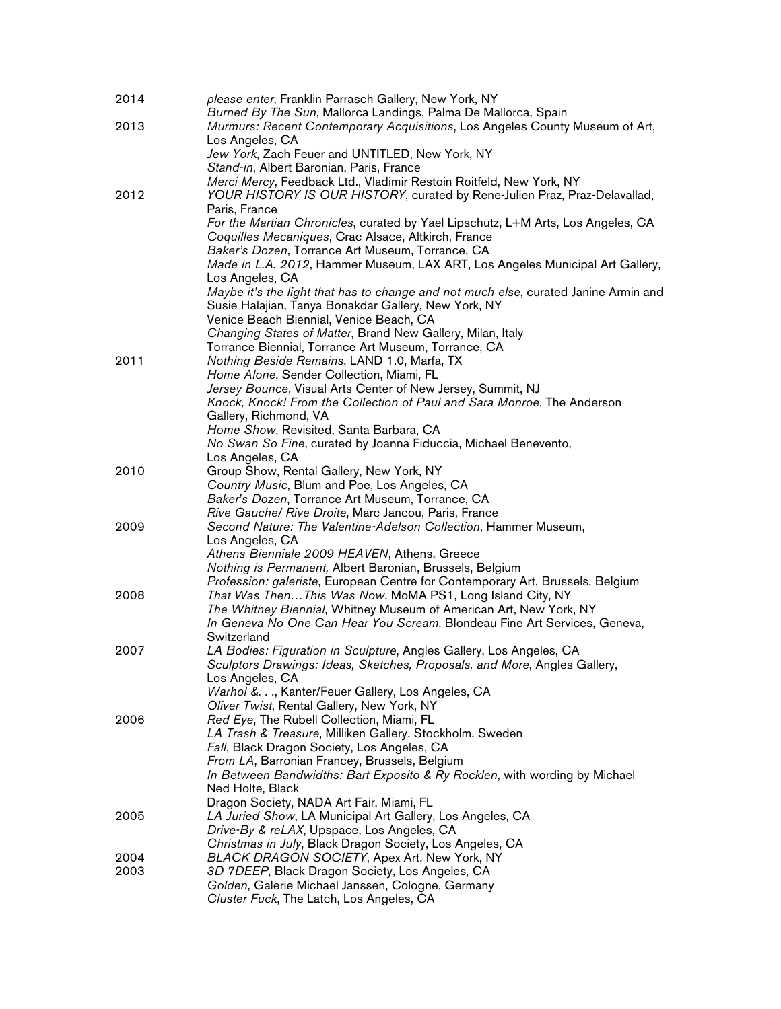| 2014 | please enter, Franklin Parrasch Gallery, New York, NY<br>Burned By The Sun, Mallorca Landings, Palma De Mallorca, Spain                         |
|------|-------------------------------------------------------------------------------------------------------------------------------------------------|
| 2013 | Murmurs: Recent Contemporary Acquisitions, Los Angeles County Museum of Art,                                                                    |
|      | Los Angeles, CA                                                                                                                                 |
|      | Jew York, Zach Feuer and UNTITLED, New York, NY                                                                                                 |
|      | Stand-in, Albert Baronian, Paris, France                                                                                                        |
|      | Merci Mercy, Feedback Ltd., Vladimir Restoin Roitfeld, New York, NY                                                                             |
| 2012 | YOUR HISTORY IS OUR HISTORY, curated by Rene-Julien Praz, Praz-Delavallad,                                                                      |
|      | Paris, France                                                                                                                                   |
|      | For the Martian Chronicles, curated by Yael Lipschutz, L+M Arts, Los Angeles, CA                                                                |
|      | Coquilles Mecaniques, Crac Alsace, Altkirch, France                                                                                             |
|      | Baker's Dozen, Torrance Art Museum, Torrance, CA                                                                                                |
|      | Made in L.A. 2012, Hammer Museum, LAX ART, Los Angeles Municipal Art Gallery,                                                                   |
|      | Los Angeles, CA                                                                                                                                 |
|      | Maybe it's the light that has to change and not much else, curated Janine Armin and                                                             |
|      | Susie Halajian, Tanya Bonakdar Gallery, New York, NY                                                                                            |
|      | Venice Beach Biennial, Venice Beach, CA                                                                                                         |
|      | Changing States of Matter, Brand New Gallery, Milan, Italy                                                                                      |
|      | Torrance Biennial, Torrance Art Museum, Torrance, CA                                                                                            |
| 2011 | Nothing Beside Remains, LAND 1.0, Marfa, TX                                                                                                     |
|      | Home Alone, Sender Collection, Miami, FL                                                                                                        |
|      | Jersey Bounce, Visual Arts Center of New Jersey, Summit, NJ                                                                                     |
|      | Knock, Knock! From the Collection of Paul and Sara Monroe, The Anderson<br>Gallery, Richmond, VA                                                |
|      | Home Show, Revisited, Santa Barbara, CA                                                                                                         |
|      | No Swan So Fine, curated by Joanna Fiduccia, Michael Benevento,                                                                                 |
|      | Los Angeles, CA                                                                                                                                 |
| 2010 | Group Show, Rental Gallery, New York, NY                                                                                                        |
|      | Country Music, Blum and Poe, Los Angeles, CA                                                                                                    |
|      | Baker's Dozen, Torrance Art Museum, Torrance, CA                                                                                                |
|      | Rive Gauche/ Rive Droite, Marc Jancou, Paris, France                                                                                            |
| 2009 | Second Nature: The Valentine-Adelson Collection, Hammer Museum,                                                                                 |
|      | Los Angeles, CA                                                                                                                                 |
|      | Athens Bienniale 2009 HEAVEN, Athens, Greece                                                                                                    |
|      | Nothing is Permanent, Albert Baronian, Brussels, Belgium                                                                                        |
|      | Profession: galeriste, European Centre for Contemporary Art, Brussels, Belgium                                                                  |
| 2008 | That Was ThenThis Was Now, MoMA PS1, Long Island City, NY                                                                                       |
|      | The Whitney Biennial, Whitney Museum of American Art, New York, NY<br>In Geneva No One Can Hear You Scream, Blondeau Fine Art Services, Geneva, |
|      | Switzerland                                                                                                                                     |
| 2007 | LA Bodies: Figuration in Sculpture, Angles Gallery, Los Angeles, CA                                                                             |
|      | Sculptors Drawings: Ideas, Sketches, Proposals, and More, Angles Gallery,                                                                       |
|      | Los Angeles, CA                                                                                                                                 |
|      | Warhol &., Kanter/Feuer Gallery, Los Angeles, CA                                                                                                |
|      | Oliver Twist, Rental Gallery, New York, NY                                                                                                      |
| 2006 | Red Eye, The Rubell Collection, Miami, FL                                                                                                       |
|      | LA Trash & Treasure, Milliken Gallery, Stockholm, Sweden                                                                                        |
|      | Fall, Black Dragon Society, Los Angeles, CA                                                                                                     |
|      | From LA, Barronian Francey, Brussels, Belgium                                                                                                   |
|      | In Between Bandwidths: Bart Exposito & Ry Rocklen, with wording by Michael                                                                      |
|      | Ned Holte, Black                                                                                                                                |
|      | Dragon Society, NADA Art Fair, Miami, FL                                                                                                        |
| 2005 | LA Juried Show, LA Municipal Art Gallery, Los Angeles, CA                                                                                       |
|      | Drive-By & reLAX, Upspace, Los Angeles, CA<br>Christmas in July, Black Dragon Society, Los Angeles, CA                                          |
| 2004 | BLACK DRAGON SOCIETY, Apex Art, New York, NY                                                                                                    |
| 2003 | 3D 7DEEP, Black Dragon Society, Los Angeles, CA                                                                                                 |
|      | Golden, Galerie Michael Janssen, Cologne, Germany                                                                                               |
|      | Cluster Fuck, The Latch, Los Angeles, CA                                                                                                        |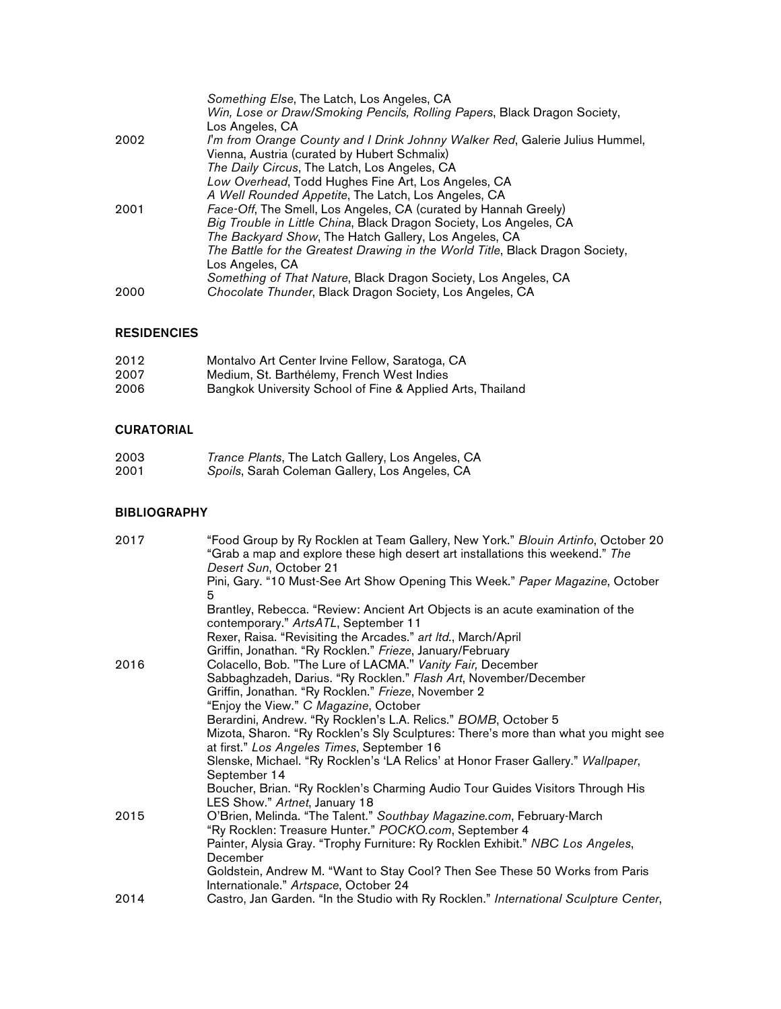|      | Something Else, The Latch, Los Angeles, CA                                    |
|------|-------------------------------------------------------------------------------|
|      | Win, Lose or Draw/Smoking Pencils, Rolling Papers, Black Dragon Society,      |
|      | Los Angeles, CA                                                               |
| 2002 | I'm from Orange County and I Drink Johnny Walker Red, Galerie Julius Hummel,  |
|      | Vienna, Austria (curated by Hubert Schmalix)                                  |
|      | The Daily Circus, The Latch, Los Angeles, CA                                  |
|      | Low Overhead, Todd Hughes Fine Art, Los Angeles, CA                           |
|      | A Well Rounded Appetite, The Latch, Los Angeles, CA                           |
| 2001 | Face-Off, The Smell, Los Angeles, CA (curated by Hannah Greely)               |
|      | Big Trouble in Little China, Black Dragon Society, Los Angeles, CA            |
|      | The Backyard Show, The Hatch Gallery, Los Angeles, CA                         |
|      | The Battle for the Greatest Drawing in the World Title, Black Dragon Society, |
|      | Los Angeles, CA                                                               |
|      | Something of That Nature, Black Dragon Society, Los Angeles, CA               |
| 2000 | Chocolate Thunder, Black Dragon Society, Los Angeles, CA                      |

## RESIDENCIES

| 2012 | Montalvo Art Center Irvine Fellow, Saratoga, CA            |
|------|------------------------------------------------------------|
| 2007 | Medium, St. Barthélemy, French West Indies                 |
| 2006 | Bangkok University School of Fine & Applied Arts, Thailand |

## CURATORIAL

| 2003 | Trance Plants, The Latch Gallery, Los Angeles, CA |
|------|---------------------------------------------------|
| 2001 | Spoils, Sarah Coleman Gallery, Los Angeles, CA    |

### **BIBLIOGRAPHY**

| 2017 | "Food Group by Ry Rocklen at Team Gallery, New York." Blouin Artinfo, October 20<br>"Grab a map and explore these high desert art installations this weekend." The<br>Desert Sun, October 21 |
|------|----------------------------------------------------------------------------------------------------------------------------------------------------------------------------------------------|
|      | Pini, Gary. "10 Must-See Art Show Opening This Week." Paper Magazine, October<br>5                                                                                                           |
|      | Brantley, Rebecca. "Review: Ancient Art Objects is an acute examination of the<br>contemporary." ArtsATL, September 11                                                                       |
|      | Rexer, Raisa. "Revisiting the Arcades." art Itd., March/April                                                                                                                                |
|      | Griffin, Jonathan. "Ry Rocklen." Frieze, January/February                                                                                                                                    |
| 2016 | Colacello, Bob. "The Lure of LACMA." Vanity Fair, December                                                                                                                                   |
|      | Sabbaghzadeh, Darius. "Ry Rocklen." Flash Art, November/December                                                                                                                             |
|      | Griffin, Jonathan. "Ry Rocklen." Frieze, November 2                                                                                                                                          |
|      | "Enjoy the View." C Magazine, October                                                                                                                                                        |
|      | Berardini, Andrew. "Ry Rocklen's L.A. Relics." BOMB, October 5                                                                                                                               |
|      | Mizota, Sharon. "Ry Rocklen's Sly Sculptures: There's more than what you might see<br>at first." Los Angeles Times, September 16                                                             |
|      | Slenske, Michael. "Ry Rocklen's 'LA Relics' at Honor Fraser Gallery." Wallpaper,                                                                                                             |
|      | September 14                                                                                                                                                                                 |
|      | Boucher, Brian. "Ry Rocklen's Charming Audio Tour Guides Visitors Through His<br>LES Show." Artnet, January 18                                                                               |
| 2015 | O'Brien, Melinda. "The Talent." Southbay Magazine.com, February-March                                                                                                                        |
|      | "Ry Rocklen: Treasure Hunter." POCKO.com, September 4                                                                                                                                        |
|      | Painter, Alysia Gray. "Trophy Furniture: Ry Rocklen Exhibit." NBC Los Angeles,                                                                                                               |
|      | December                                                                                                                                                                                     |
|      | Goldstein, Andrew M. "Want to Stay Cool? Then See These 50 Works from Paris                                                                                                                  |
|      | Internationale." Artspace, October 24                                                                                                                                                        |
| 2014 | Castro, Jan Garden. "In the Studio with Ry Rocklen." International Sculpture Center,                                                                                                         |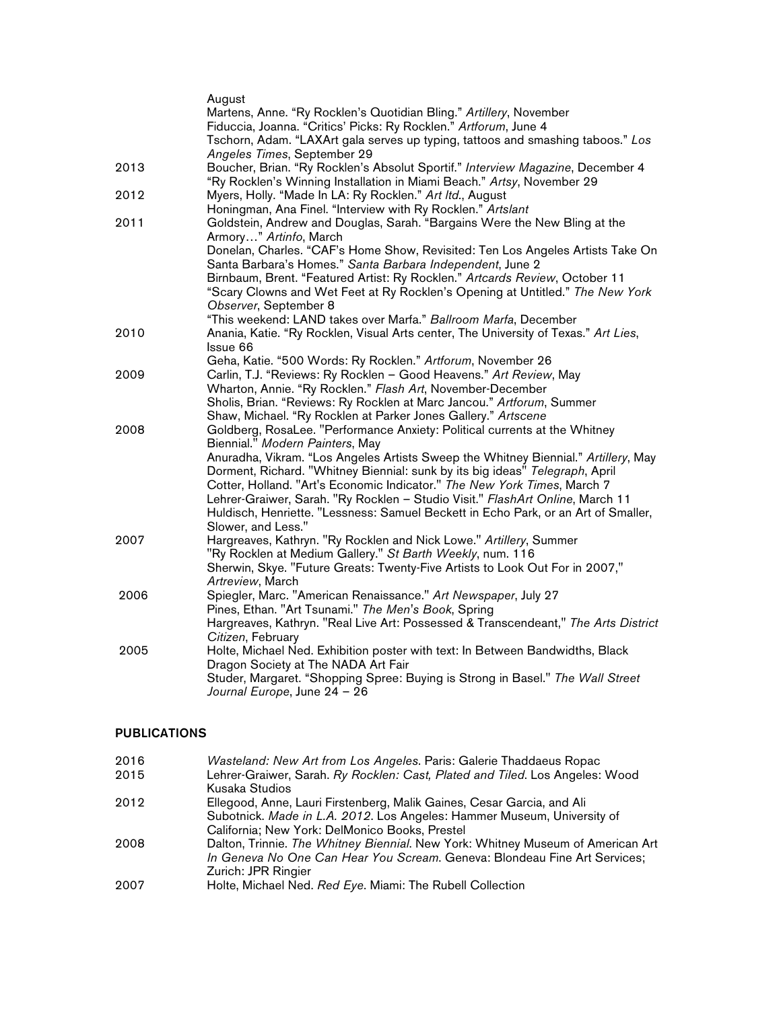|      | August                                                                                                               |
|------|----------------------------------------------------------------------------------------------------------------------|
|      | Martens, Anne. "Ry Rocklen's Quotidian Bling." Artillery, November                                                   |
|      | Fiduccia, Joanna. "Critics' Picks: Ry Rocklen." Artforum, June 4                                                     |
|      | Tschorn, Adam. "LAXArt gala serves up typing, tattoos and smashing taboos." Los                                      |
|      | Angeles Times, September 29                                                                                          |
| 2013 | Boucher, Brian. "Ry Rocklen's Absolut Sportif." Interview Magazine, December 4                                       |
|      | "Ry Rocklen's Winning Installation in Miami Beach." Artsy, November 29                                               |
| 2012 | Myers, Holly. "Made In LA: Ry Rocklen." Art Itd., August                                                             |
|      | Honingman, Ana Finel. "Interview with Ry Rocklen." Artslant                                                          |
| 2011 | Goldstein, Andrew and Douglas, Sarah. "Bargains Were the New Bling at the<br>Armory" Artinfo, March                  |
|      | Donelan, Charles. "CAF's Home Show, Revisited: Ten Los Angeles Artists Take On                                       |
|      | Santa Barbara's Homes." Santa Barbara Independent, June 2                                                            |
|      | Birnbaum, Brent. "Featured Artist: Ry Rocklen." Artcards Review, October 11                                          |
|      | "Scary Clowns and Wet Feet at Ry Rocklen's Opening at Untitled." The New York                                        |
|      | Observer, September 8                                                                                                |
|      | "This weekend: LAND takes over Marfa." Ballroom Marfa, December                                                      |
| 2010 | Anania, Katie. "Ry Rocklen, Visual Arts center, The University of Texas." Art Lies,                                  |
|      | Issue 66                                                                                                             |
|      | Geha, Katie. "500 Words: Ry Rocklen." Artforum, November 26                                                          |
| 2009 | Carlin, T.J. "Reviews: Ry Rocklen - Good Heavens." Art Review, May                                                   |
|      | Wharton, Annie. "Ry Rocklen." Flash Art, November-December                                                           |
|      | Sholis, Brian. "Reviews: Ry Rocklen at Marc Jancou." Artforum, Summer                                                |
|      | Shaw, Michael. "Ry Rocklen at Parker Jones Gallery." Artscene                                                        |
| 2008 | Goldberg, RosaLee. "Performance Anxiety: Political currents at the Whitney                                           |
|      | Biennial." Modern Painters, May                                                                                      |
|      | Anuradha, Vikram. "Los Angeles Artists Sweep the Whitney Biennial." Artillery, May                                   |
|      | Dorment, Richard. "Whitney Biennial: sunk by its big ideas" Telegraph, April                                         |
|      | Cotter, Holland. "Art's Economic Indicator." The New York Times, March 7                                             |
|      | Lehrer-Graiwer, Sarah. "Ry Rocklen - Studio Visit." FlashArt Online, March 11                                        |
|      | Huldisch, Henriette. "Lessness: Samuel Beckett in Echo Park, or an Art of Smaller,                                   |
|      | Slower, and Less."                                                                                                   |
| 2007 | Hargreaves, Kathryn. "Ry Rocklen and Nick Lowe." Artillery, Summer                                                   |
|      | "Ry Rocklen at Medium Gallery." St Barth Weekly, num. 116                                                            |
|      | Sherwin, Skye. "Future Greats: Twenty-Five Artists to Look Out For in 2007,"                                         |
|      | Artreview, March                                                                                                     |
| 2006 | Spiegler, Marc. "American Renaissance." Art Newspaper, July 27                                                       |
|      | Pines, Ethan. "Art Tsunami." The Men's Book, Spring                                                                  |
|      | Hargreaves, Kathryn. "Real Live Art: Possessed & Transcendeant," The Arts District                                   |
|      | Citizen, February                                                                                                    |
| 2005 | Holte, Michael Ned. Exhibition poster with text: In Between Bandwidths, Black<br>Dragon Society at The NADA Art Fair |
|      | Studer, Margaret. "Shopping Spree: Buying is Strong in Basel." The Wall Street                                       |
|      | Journal Europe, June 24 - 26                                                                                         |
|      |                                                                                                                      |

## PUBLICATIONS

| 2016 | Wasteland: New Art from Los Angeles. Paris: Galerie Thaddaeus Ropac             |
|------|---------------------------------------------------------------------------------|
| 2015 | Lehrer-Graiwer, Sarah. Ry Rocklen: Cast, Plated and Tiled. Los Angeles: Wood    |
|      | Kusaka Studios                                                                  |
| 2012 | Ellegood, Anne, Lauri Firstenberg, Malik Gaines, Cesar Garcia, and Ali          |
|      | Subotnick. Made in L.A. 2012. Los Angeles: Hammer Museum, University of         |
|      | California; New York: DelMonico Books, Prestel                                  |
| 2008 | Dalton, Trinnie. The Whitney Biennial. New York: Whitney Museum of American Art |
|      | In Geneva No One Can Hear You Scream. Geneva: Blondeau Fine Art Services;       |
|      | Zurich: JPR Ringier                                                             |
| 2007 | Holte, Michael Ned. Red Eye. Miami: The Rubell Collection                       |
|      |                                                                                 |